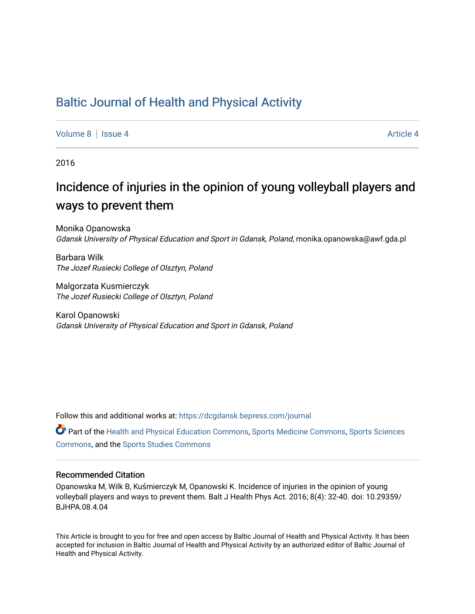### [Baltic Journal of Health and Physical Activity](https://dcgdansk.bepress.com/journal)

[Volume 8](https://dcgdansk.bepress.com/journal/vol8) | [Issue 4](https://dcgdansk.bepress.com/journal/vol8/iss4) Article 4

2016

# Incidence of injuries in the opinion of young volleyball players and ways to prevent them

Monika Opanowska Gdansk University of Physical Education and Sport in Gdansk, Poland, monika.opanowska@awf.gda.pl

Barbara Wilk The Jozef Rusiecki College of Olsztyn, Poland

Malgorzata Kusmierczyk The Jozef Rusiecki College of Olsztyn, Poland

Karol Opanowski Gdansk University of Physical Education and Sport in Gdansk, Poland

Follow this and additional works at: [https://dcgdansk.bepress.com/journal](https://dcgdansk.bepress.com/journal?utm_source=dcgdansk.bepress.com%2Fjournal%2Fvol8%2Fiss4%2F4&utm_medium=PDF&utm_campaign=PDFCoverPages)

Part of the [Health and Physical Education Commons](http://network.bepress.com/hgg/discipline/1327?utm_source=dcgdansk.bepress.com%2Fjournal%2Fvol8%2Fiss4%2F4&utm_medium=PDF&utm_campaign=PDFCoverPages), [Sports Medicine Commons,](http://network.bepress.com/hgg/discipline/1331?utm_source=dcgdansk.bepress.com%2Fjournal%2Fvol8%2Fiss4%2F4&utm_medium=PDF&utm_campaign=PDFCoverPages) [Sports Sciences](http://network.bepress.com/hgg/discipline/759?utm_source=dcgdansk.bepress.com%2Fjournal%2Fvol8%2Fiss4%2F4&utm_medium=PDF&utm_campaign=PDFCoverPages) [Commons](http://network.bepress.com/hgg/discipline/759?utm_source=dcgdansk.bepress.com%2Fjournal%2Fvol8%2Fiss4%2F4&utm_medium=PDF&utm_campaign=PDFCoverPages), and the [Sports Studies Commons](http://network.bepress.com/hgg/discipline/1198?utm_source=dcgdansk.bepress.com%2Fjournal%2Fvol8%2Fiss4%2F4&utm_medium=PDF&utm_campaign=PDFCoverPages) 

#### Recommended Citation

Opanowska M, Wilk B, Kuśmierczyk M, Opanowski K. Incidence of injuries in the opinion of young volleyball players and ways to prevent them. Balt J Health Phys Act. 2016; 8(4): 32-40. doi: 10.29359/ BJHPA.08.4.04

This Article is brought to you for free and open access by Baltic Journal of Health and Physical Activity. It has been accepted for inclusion in Baltic Journal of Health and Physical Activity by an authorized editor of Baltic Journal of Health and Physical Activity.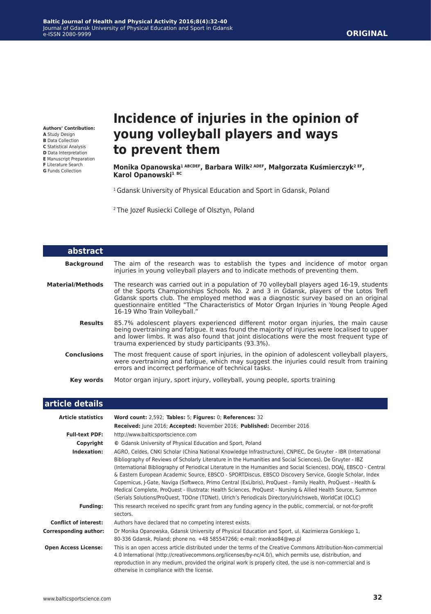**Authors' Contribution:**

- **A** Study Design
- **B** Data Collection **C** Statistical Analysis
- **D** Data Interpretation
- **E** Manuscript Preparation
- **F** Literature Search
- **G** Funds Collection

## **Incidence of injuries in the opinion of young volleyball players and ways to prevent them**

**Monika Opanowska1 ABCDEF, Barbara Wilk2 ADEF, Małgorzata Kuśmierczyk2 EF, Karol Opanowski<sup>1</sup> BC**

<sup>1</sup> Gdansk University of Physical Education and Sport in Gdansk, Poland

2 The Jozef Rusiecki College of Olsztyn, Poland

| abstract                |                                                                                                                                                                                                                                                                                                                                                                                                         |
|-------------------------|---------------------------------------------------------------------------------------------------------------------------------------------------------------------------------------------------------------------------------------------------------------------------------------------------------------------------------------------------------------------------------------------------------|
| <b>Background</b>       | The aim of the research was to establish the types and incidence of motor organ<br>injuries in young volleyball players and to indicate methods of preventing them.                                                                                                                                                                                                                                     |
| <b>Material/Methods</b> | The research was carried out in a population of 70 volleyball players aged 16-19, students<br>of the Sports Championships Schools No. 2 and 3 in Gdansk, players of the Lotos Trefl<br>Gdansk sports club. The employed method was a diagnostic survey based on an original<br>questionnaire entitled "The Characteristics of Motor Organ Injuries in Young People Aged<br>16-19 Who Train Volleyball." |
| <b>Results</b>          | 85.7% adolescent players experienced different motor organ injuries, the main cause<br>being overtraining and fatigue. It was found the majority of injuries were localised to upper<br>and lower limbs. It was also found that joint dislocations were the most frequent type of<br>trauma experienced by study participants (93.3%).                                                                  |
| <b>Conclusions</b>      | The most frequent cause of sport injuries, in the opinion of adolescent volleyball players,<br>were overtraining and fatigue, which may suggest the injuries could result from training<br>errors and incorrect performance of technical tasks.                                                                                                                                                         |
| Key words               | Motor organ injury, sport injury, volleyball, young people, sports training                                                                                                                                                                                                                                                                                                                             |

#### **article details**

| <b>Article statistics</b>    | Word count: 2,592; Tables: 5; Figures: 0; References: 32                                                                                                                                                                                                                                                                                                                                                                                                                                                                                                                                                                                                                                                                                                                                             |
|------------------------------|------------------------------------------------------------------------------------------------------------------------------------------------------------------------------------------------------------------------------------------------------------------------------------------------------------------------------------------------------------------------------------------------------------------------------------------------------------------------------------------------------------------------------------------------------------------------------------------------------------------------------------------------------------------------------------------------------------------------------------------------------------------------------------------------------|
|                              | Received: June 2016; Accepted: November 2016; Published: December 2016                                                                                                                                                                                                                                                                                                                                                                                                                                                                                                                                                                                                                                                                                                                               |
| <b>Full-text PDF:</b>        | http://www.balticsportscience.com                                                                                                                                                                                                                                                                                                                                                                                                                                                                                                                                                                                                                                                                                                                                                                    |
| Copyright                    | © Gdansk University of Physical Education and Sport, Poland                                                                                                                                                                                                                                                                                                                                                                                                                                                                                                                                                                                                                                                                                                                                          |
| Indexation:                  | AGRO, Celdes, CNKI Scholar (China National Knowledge Infrastructure), CNPIEC, De Gruyter - IBR (International<br>Bibliography of Reviews of Scholarly Literature in the Humanities and Social Sciences), De Gruyter - IBZ<br>(International Bibliography of Periodical Literature in the Humanities and Social Sciences), DOAJ, EBSCO - Central<br>& Eastern European Academic Source, EBSCO - SPORTDiscus, EBSCO Discovery Service, Google Scholar, Index<br>Copernicus, J-Gate, Naviga (Softweco, Primo Central (ExLibris), ProQuest - Family Health, ProQuest - Health &<br>Medical Complete, ProQuest - Illustrata: Health Sciences, ProQuest - Nursing & Allied Health Source, Summon<br>(Serials Solutions/ProQuest, TDOne (TDNet), Ulrich's Periodicals Directory/ulrichsweb, WorldCat (OCLC) |
| <b>Funding:</b>              | This research received no specific grant from any funding agency in the public, commercial, or not-for-profit<br>sectors.                                                                                                                                                                                                                                                                                                                                                                                                                                                                                                                                                                                                                                                                            |
| <b>Conflict of interest:</b> | Authors have declared that no competing interest exists.                                                                                                                                                                                                                                                                                                                                                                                                                                                                                                                                                                                                                                                                                                                                             |
| <b>Corresponding author:</b> | Dr Monika Opanowska, Gdansk University of Physical Education and Sport, ul. Kazimierza Gorskiego 1,<br>80-336 Gdansk, Poland; phone no. +48 585547266; e-mail: monkao84@wp.pl                                                                                                                                                                                                                                                                                                                                                                                                                                                                                                                                                                                                                        |
| <b>Open Access License:</b>  | This is an open access article distributed under the terms of the Creative Commons Attribution-Non-commercial<br>4.0 International (http://creativecommons.org/licenses/by-nc/4.0/), which permits use, distribution, and<br>reproduction in any medium, provided the original work is properly cited, the use is non-commercial and is<br>otherwise in compliance with the license.                                                                                                                                                                                                                                                                                                                                                                                                                 |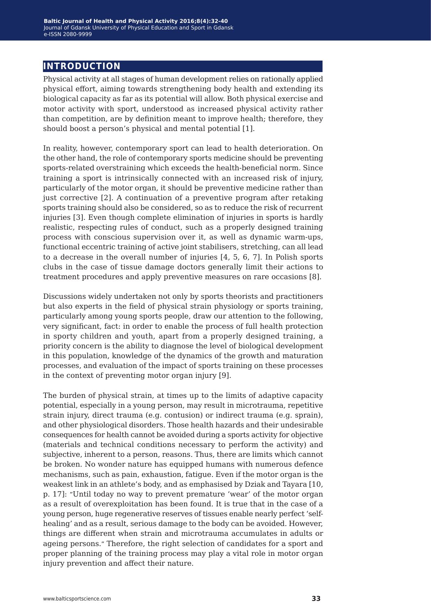### **introduction**

Physical activity at all stages of human development relies on rationally applied physical effort, aiming towards strengthening body health and extending its biological capacity as far as its potential will allow. Both physical exercise and motor activity with sport, understood as increased physical activity rather than competition, are by definition meant to improve health; therefore, they should boost a person's physical and mental potential [1].

In reality, however, contemporary sport can lead to health deterioration. On the other hand, the role of contemporary sports medicine should be preventing sports-related overstraining which exceeds the health-beneficial norm. Since training a sport is intrinsically connected with an increased risk of injury, particularly of the motor organ, it should be preventive medicine rather than just corrective [2]. A continuation of a preventive program after retaking sports training should also be considered, so as to reduce the risk of recurrent injuries [3]. Even though complete elimination of injuries in sports is hardly realistic, respecting rules of conduct, such as a properly designed training process with conscious supervision over it, as well as dynamic warm-ups, functional eccentric training of active joint stabilisers, stretching, can all lead to a decrease in the overall number of injuries [4, 5, 6, 7]. In Polish sports clubs in the case of tissue damage doctors generally limit their actions to treatment procedures and apply preventive measures on rare occasions [8].

Discussions widely undertaken not only by sports theorists and practitioners but also experts in the field of physical strain physiology or sports training, particularly among young sports people, draw our attention to the following, very significant, fact: in order to enable the process of full health protection in sporty children and youth, apart from a properly designed training, a priority concern is the ability to diagnose the level of biological development in this population, knowledge of the dynamics of the growth and maturation processes, and evaluation of the impact of sports training on these processes in the context of preventing motor organ injury [9].

The burden of physical strain, at times up to the limits of adaptive capacity potential, especially in a young person, may result in microtrauma, repetitive strain injury, direct trauma (e.g. contusion) or indirect trauma (e.g. sprain), and other physiological disorders. Those health hazards and their undesirable consequences for health cannot be avoided during a sports activity for objective (materials and technical conditions necessary to perform the activity) and subjective, inherent to a person, reasons. Thus, there are limits which cannot be broken. No wonder nature has equipped humans with numerous defence mechanisms, such as pain, exhaustion, fatigue. Even if the motor organ is the weakest link in an athlete's body, and as emphasised by Dziak and Tayara [10, p. 17]: "Until today no way to prevent premature 'wear' of the motor organ as a result of overexploitation has been found. It is true that in the case of a young person, huge regenerative reserves of tissues enable nearly perfect 'selfhealing' and as a result, serious damage to the body can be avoided. However, things are different when strain and microtrauma accumulates in adults or ageing persons." Therefore, the right selection of candidates for a sport and proper planning of the training process may play a vital role in motor organ injury prevention and affect their nature.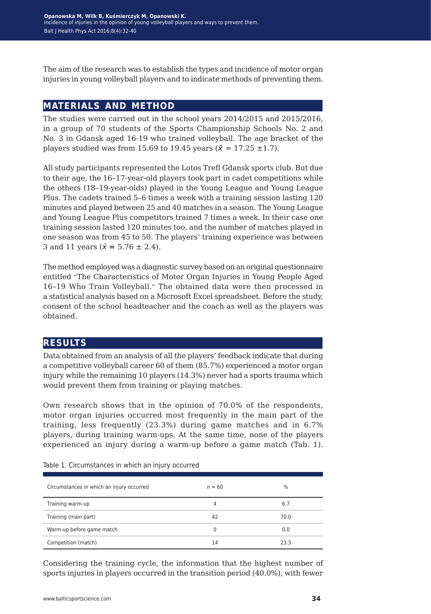The aim of the research was to establish the types and incidence of motor organ injuries in young volleyball players and to indicate methods of preventing them.

#### **materials and method**

The studies were carried out in the school years 2014/2015 and 2015/2016, in a group of 70 students of the Sports Championship Schools No. 2 and No. 3 in Gdansk aged 16-19 who trained volleyball. The age bracket of the players studied was from 15.69 to 19.45 years ( $\bar{x}$  = 17.25  $\pm$ 1.7).

All study participants represented the Lotos Trefl Gdansk sports club. But due to their age, the 16–17-year-old players took part in cadet competitions while the others (18–19-year-olds) played in the Young League and Young League Plus. The cadets trained 5–6 times a week with a training session lasting 120 minutes and played between 25 and 40 matches in a season. The Young League and Young League Plus competitors trained 7 times a week. In their case one training session lasted 120 minutes too, and the number of matches played in one season was from 45 to 50. The players' training experience was between 3 and 11 years ( $\bar{x}$  = 5.76  $\pm$  2.4).

The method employed was a diagnostic survey based on an original questionnaire entitled "The Characteristics of Motor Organ Injuries in Young People Aged 16–19 Who Train Volleyball." The obtained data were then processed in a statistical analysis based on a Microsoft Excel spreadsheet. Before the study, consent of the school headteacher and the coach as well as the players was obtained.

#### **results**

Data obtained from an analysis of all the players' feedback indicate that during a competitive volleyball career 60 of them (85.7%) experienced a motor organ injury while the remaining 10 players (14.3%) never had a sports trauma which would prevent them from training or playing matches.

Own research shows that in the opinion of 70.0% of the respondents, motor organ injuries occurred most frequently in the main part of the training, less frequently (23.3%) during game matches and in 6.7% players, during training warm-ups. At the same time, none of the players experienced an injury during a warm-up before a game match (Tab. 1).

| Circumstances in which an injury occurred | $n = 60$ | $\%$ |
|-------------------------------------------|----------|------|
| Training warm-up                          | 4        | 6.7  |
| Training (main part)                      | 42       | 70.0 |
| Warm-up before game match                 | 0        | 0.0  |
| Competition (match)                       | 14       | 23.3 |

Table 1. Circumstances in which an injury occurred

Considering the training cycle, the information that the highest number of sports injuries in players occurred in the transition period (40.0%), with fewer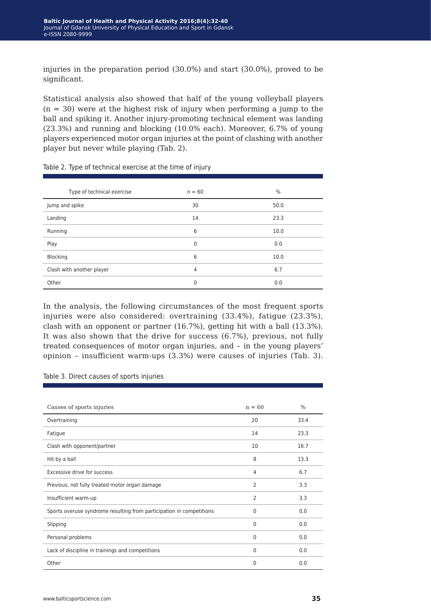injuries in the preparation period (30.0%) and start (30.0%), proved to be significant.

Statistical analysis also showed that half of the young volleyball players  $(n = 30)$  were at the highest risk of injury when performing a jump to the ball and spiking it. Another injury-promoting technical element was landing (23.3%) and running and blocking (10.0% each). Moreover, 6.7% of young players experienced motor organ injuries at the point of clashing with another player but never while playing (Tab. 2).

| Type of technical exercise | $n = 60$       | $\frac{0}{0}$ |
|----------------------------|----------------|---------------|
| Jump and spike             | 30             | 50.0          |
| Landing                    | 14             | 23.3          |
| Running                    | 6              | 10.0          |
| Play                       | $\mathbf 0$    | 0.0           |
| Blocking                   | 6              | 10.0          |
| Clash with another player  | $\overline{4}$ | 6.7           |
| Other                      | $\Omega$       | 0.0           |

Table 2. Type of technical exercise at the time of injury

In the analysis, the following circumstances of the most frequent sports injuries were also considered: overtraining (33.4%), fatigue (23.3%), clash with an opponent or partner (16.7%), getting hit with a ball (13.3%). It was also shown that the drive for success (6.7%), previous, not fully treated consequences of motor organ injuries, and – in the young players' opinion – insufficient warm-ups (3.3%) were causes of injuries (Tab. 3).

| Table 3. Direct causes of sports injuries |  |  |  |  |  |
|-------------------------------------------|--|--|--|--|--|
|-------------------------------------------|--|--|--|--|--|

| Causes of sports injuries                                            | $n = 60$       | $\frac{0}{0}$ |
|----------------------------------------------------------------------|----------------|---------------|
| Overtraining                                                         | 20             | 33.4          |
| Fatigue                                                              | 14             | 23.3          |
| Clash with opponent/partner                                          | 10             | 16.7          |
| Hit by a ball                                                        | 8              | 13.3          |
| Excessive drive for success                                          | 4              | 6.7           |
| Previous, not fully treated motor organ damage                       | $\overline{2}$ | 3.3           |
| Insufficient warm-up                                                 | 2              | 3.3           |
| Sports overuse syndrome resulting from participation in competitions | $\mathbf{0}$   | 0.0           |
| Slipping                                                             | $\mathbf{0}$   | 0.0           |
| Personal problems                                                    | 0              | 0.0           |
| Lack of discipline in trainings and competitions                     | $\mathbf{0}$   | 0.0           |
| Other                                                                | $\mathbf{0}$   | 0.0           |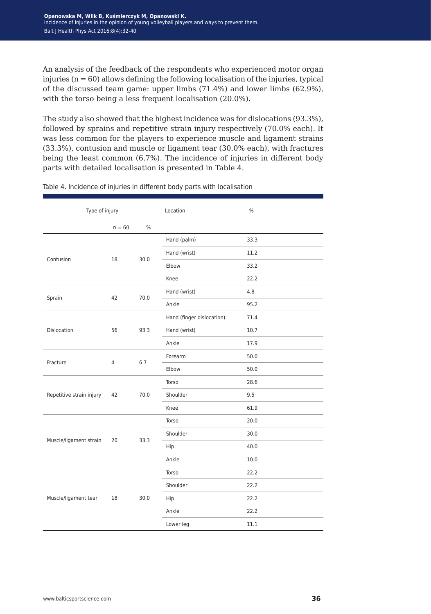An analysis of the feedback of the respondents who experienced motor organ injuries ( $n = 60$ ) allows defining the following localisation of the injuries, typical of the discussed team game: upper limbs (71.4%) and lower limbs (62.9%), with the torso being a less frequent localisation (20.0%).

The study also showed that the highest incidence was for dislocations (93.3%), followed by sprains and repetitive strain injury respectively (70.0% each). It was less common for the players to experience muscle and ligament strains (33.3%), contusion and muscle or ligament tear (30.0% each), with fractures being the least common (6.7%). The incidence of injuries in different body parts with detailed localisation is presented in Table 4.

| Type of injury           |          |      | Location                  | %    |
|--------------------------|----------|------|---------------------------|------|
|                          | $n = 60$ | $\%$ |                           |      |
|                          |          |      | Hand (palm)               | 33.3 |
| Contusion                | 18       | 30.0 | Hand (wrist)              | 11.2 |
|                          |          |      | Elbow                     | 33.2 |
|                          |          |      | Knee                      | 22.2 |
|                          |          | 70.0 | Hand (wrist)              | 4.8  |
| Sprain                   | 42       |      | Ankle                     | 95.2 |
|                          |          | 93.3 | Hand (finger dislocation) | 71.4 |
| Dislocation              | 56       |      | Hand (wrist)              | 10.7 |
|                          |          |      | Ankle                     | 17.9 |
| Fracture                 | 4        | 6.7  | Forearm                   | 50.0 |
|                          |          |      | Elbow                     | 50.0 |
|                          | 42       | 70.0 | Torso                     | 28.6 |
| Repetitive strain injury |          |      | Shoulder                  | 9.5  |
|                          |          |      | Knee                      | 61.9 |
|                          | 20       | 33.3 | Torso                     | 20.0 |
|                          |          |      | Shoulder                  | 30.0 |
| Muscle/ligament strain   |          |      | Hip                       | 40.0 |
|                          |          |      | Ankle                     | 10.0 |
|                          | 18       | 30.0 | Torso                     | 22.2 |
|                          |          |      | Shoulder                  | 22.2 |
| Muscle/ligament tear     |          |      | Hip                       | 22.2 |
|                          |          |      | Ankle                     | 22.2 |
|                          |          |      | Lower leg                 | 11.1 |

Table 4. Incidence of injuries in different body parts with localisation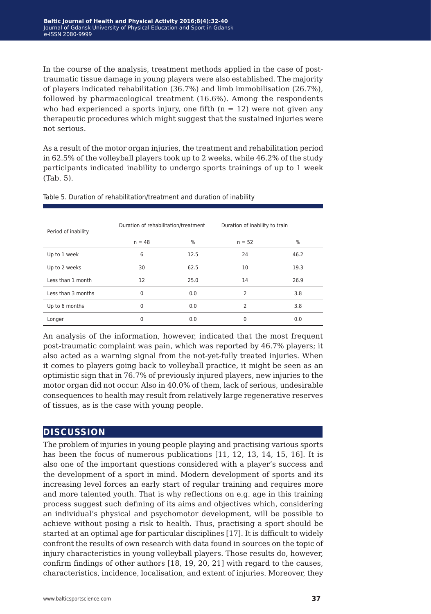In the course of the analysis, treatment methods applied in the case of posttraumatic tissue damage in young players were also established. The majority of players indicated rehabilitation (36.7%) and limb immobilisation (26.7%), followed by pharmacological treatment (16.6%). Among the respondents who had experienced a sports injury, one fifth  $(n = 12)$  were not given any therapeutic procedures which might suggest that the sustained injuries were not serious.

As a result of the motor organ injuries, the treatment and rehabilitation period in 62.5% of the volleyball players took up to 2 weeks, while 46.2% of the study participants indicated inability to undergo sports trainings of up to 1 week (Tab. 5).

| Period of inability | Duration of rehabilitation/treatment |      | Duration of inability to train |               |
|---------------------|--------------------------------------|------|--------------------------------|---------------|
|                     | $n = 48$                             | $\%$ | $n = 52$                       | $\frac{0}{0}$ |
| Up to 1 week        | 6                                    | 12.5 | 24                             | 46.2          |
| Up to 2 weeks       | 30                                   | 62.5 | 10                             | 19.3          |
| Less than 1 month   | 12                                   | 25.0 | 14                             | 26.9          |
| Less than 3 months  | 0                                    | 0.0  | $\overline{\phantom{0}}$       | 3.8           |
| Up to 6 months      | 0                                    | 0.0  | 2                              | 3.8           |
| Longer              | 0                                    | 0.0  | $\Omega$                       | 0.0           |

Table 5. Duration of rehabilitation/treatment and duration of inability

An analysis of the information, however, indicated that the most frequent post-traumatic complaint was pain, which was reported by 46.7% players; it also acted as a warning signal from the not-yet-fully treated injuries. When it comes to players going back to volleyball practice, it might be seen as an optimistic sign that in 76.7% of previously injured players, new injuries to the motor organ did not occur. Also in 40.0% of them, lack of serious, undesirable consequences to health may result from relatively large regenerative reserves of tissues, as is the case with young people.

#### **discussion**

The problem of injuries in young people playing and practising various sports has been the focus of numerous publications [11, 12, 13, 14, 15, 16]. It is also one of the important questions considered with a player's success and the development of a sport in mind. Modern development of sports and its increasing level forces an early start of regular training and requires more and more talented youth. That is why reflections on e.g. age in this training process suggest such defining of its aims and objectives which, considering an individual's physical and psychomotor development, will be possible to achieve without posing a risk to health. Thus, practising a sport should be started at an optimal age for particular disciplines [17]. It is difficult to widely confront the results of own research with data found in sources on the topic of injury characteristics in young volleyball players. Those results do, however, confirm findings of other authors [18, 19, 20, 21] with regard to the causes, characteristics, incidence, localisation, and extent of injuries. Moreover, they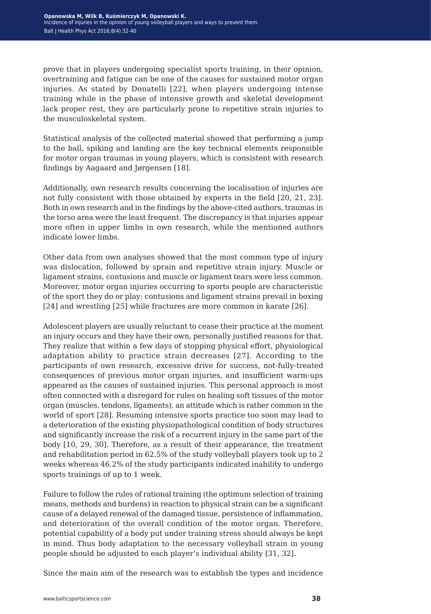prove that in players undergoing specialist sports training, in their opinion, overtraining and fatigue can be one of the causes for sustained motor organ injuries. As stated by Donatelli [22], when players undergoing intense training while in the phase of intensive growth and skeletal development lack proper rest, they are particularly prone to repetitive strain injuries to the musculoskeletal system.

Statistical analysis of the collected material showed that performing a jump to the ball, spiking and landing are the key technical elements responsible for motor organ traumas in young players, which is consistent with research findings by Aagaard and Jørgensen [18].

Additionally, own research results concerning the localisation of injuries are not fully consistent with those obtained by experts in the field [20, 21, 23]. Both in own research and in the findings by the above-cited authors, traumas in the torso area were the least frequent. The discrepancy is that injuries appear more often in upper limbs in own research, while the mentioned authors indicate lower limbs.

Other data from own analyses showed that the most common type of injury was dislocation, followed by sprain and repetitive strain injury. Muscle or ligament strains, contusions and muscle or ligament tears were less common. Moreover, motor organ injuries occurring to sports people are characteristic of the sport they do or play: contusions and ligament strains prevail in boxing [24] and wrestling [25] while fractures are more common in karate [26].

Adolescent players are usually reluctant to cease their practice at the moment an injury occurs and they have their own, personally justified reasons for that. They realize that within a few days of stopping physical effort, physiological adaptation ability to practice strain decreases [27]. According to the participants of own research, excessive drive for success, not-fully-treated consequences of previous motor organ injuries, and insufficient warm-ups appeared as the causes of sustained injuries. This personal approach is most often connected with a disregard for rules on healing soft tissues of the motor organ (muscles, tendons, ligaments), an attitude which is rather common in the world of sport [28]. Resuming intensive sports practice too soon may lead to a deterioration of the existing physiopathological condition of body structures and significantly increase the risk of a recurrent injury in the same part of the body [10, 29, 30]. Therefore, as a result of their appearance, the treatment and rehabilitation period in 62.5% of the study volleyball players took up to 2 weeks whereas 46.2% of the study participants indicated inability to undergo sports trainings of up to 1 week.

Failure to follow the rules of rational training (the optimum selection of training means, methods and burdens) in reaction to physical strain can be a significant cause of a delayed renewal of the damaged tissue, persistence of inflammation, and deterioration of the overall condition of the motor organ. Therefore, potential capability of a body put under training stress should always be kept in mind. Thus body adaptation to the necessary volleyball strain in young people should be adjusted to each player's individual ability [31, 32].

Since the main aim of the research was to establish the types and incidence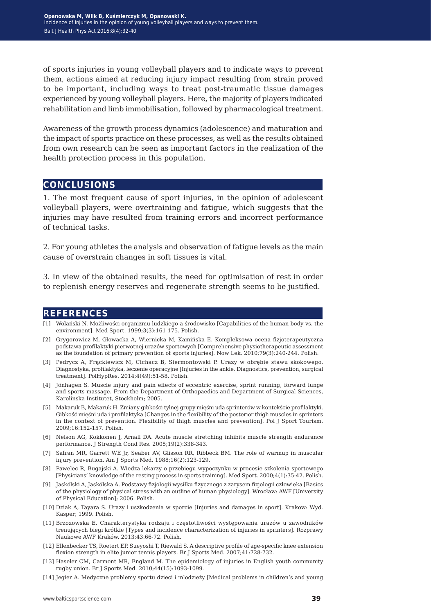of sports injuries in young volleyball players and to indicate ways to prevent them, actions aimed at reducing injury impact resulting from strain proved to be important, including ways to treat post-traumatic tissue damages experienced by young volleyball players. Here, the majority of players indicated rehabilitation and limb immobilisation, followed by pharmacological treatment.

Awareness of the growth process dynamics (adolescence) and maturation and the impact of sports practice on these processes, as well as the results obtained from own research can be seen as important factors in the realization of the health protection process in this population.

#### **conclusions**

1. The most frequent cause of sport injuries, in the opinion of adolescent volleyball players, were overtraining and fatigue, which suggests that the injuries may have resulted from training errors and incorrect performance of technical tasks.

2. For young athletes the analysis and observation of fatigue levels as the main cause of overstrain changes in soft tissues is vital.

3. In view of the obtained results, the need for optimisation of rest in order to replenish energy reserves and regenerate strength seems to be justified.

#### **references**

- [1] Wolański N. Możliwości organizmu ludzkiego a środowisko [Capabilities of the human body vs. the environment]. Med Sport. 1999;3(3):161-175. Polish.
- [2] Grygorowicz M, Głowacka A, Wiernicka M, Kamińska E. Kompleksowa ocena fizjoterapeutyczna podstawa profilaktyki pierwotnej urazów sportowych [Comprehensive physiotherapeutic assessment as the foundation of primary prevention of sports injuries]. Now Lek. 2010;79(3):240-244. Polish.
- [3] Pedrycz A, Frąckiewicz M, Cichacz B, Siermontowski P. Urazy w obrębie stawu skokowego. Diagnostyka, profilaktyka, leczenie operacyjne [Injuries in the ankle. Diagnostics, prevention, surgical treatment]. PolHypRes. 2014;4(49):51-58. Polish.
- [4] Jönhagen S. Muscle injury and pain effects of eccentric exercise, sprint running, forward lunge and sports massage. From the Department of Orthopaedics and Department of Surgical Sciences, Karolinska Institutet, Stockholm; 2005.
- [5] Makaruk B, Makaruk H. Zmiany gibkości tylnej grupy mięśni uda sprinterów w kontekście profilaktyki. Gibkość mięśni uda i profilaktyka [Changes in the flexibility of the posterior thigh muscles in sprinters in the context of prevention. Flexibility of thigh muscles and prevention]. Pol J Sport Tourism. 2009;16:152-157. Polish.
- [6] Nelson AG, Kokkonen J, Arnall DA. Acute muscle stretching inhibits muscle strength endurance performance. J Strength Cond Res. 2005;19(2):338-343.
- [7] Safran MR, Garrett WE Jr, Seaber AV, Glisson RR, Ribbeck BM. The role of warmup in muscular injury prevention. Am J Sports Med. 1988;16(2):123-129.
- [8] Pawelec R, Bugajski A. Wiedza lekarzy o przebiegu wypoczynku w procesie szkolenia sportowego [Physicians' knowledge of the resting process in sports training]. Med Sport. 2000;4(1):35-42. Polish.
- [9] Jaskólski A, Jaskólska A. Podstawy fizjologii wysiłku fizycznego z zarysem fizjologii człowieka [Basics of the physiology of physical stress with an outline of human physiology]. Wrocław: AWF [University of Physical Education]; 2006. Polish.
- [10] Dziak A, Tayara S. Urazy i uszkodzenia w sporcie [Injuries and damages in sport]. Krakow: Wyd. Kasper; 1999. Polish.
- [11] Brzozowska E. Charakterystyka rodzaju i częstotliwości występowania urazów u zawodników trenujących biegi krótkie [Types and incidence characterization of injuries in sprinters]. Rozprawy Naukowe AWF Kraków. 2013;43:66-72. Polish.
- [12] Ellenbecker TS, Roetert EP, Sueyoshi T, Riewald S. A descriptive profile of age-specific knee extension flexion strength in elite junior tennis players. Br J Sports Med. 2007;41:728-732.
- [13] Haseler CM, Carmont MR, England M. The epidemiology of injuries in English youth community rugby union. Br J Sports Med. 2010;44(15):1093-1099.
- [14] Jegier A. Medyczne problemy sportu dzieci i mlodzieży [Medical problems in children's and young